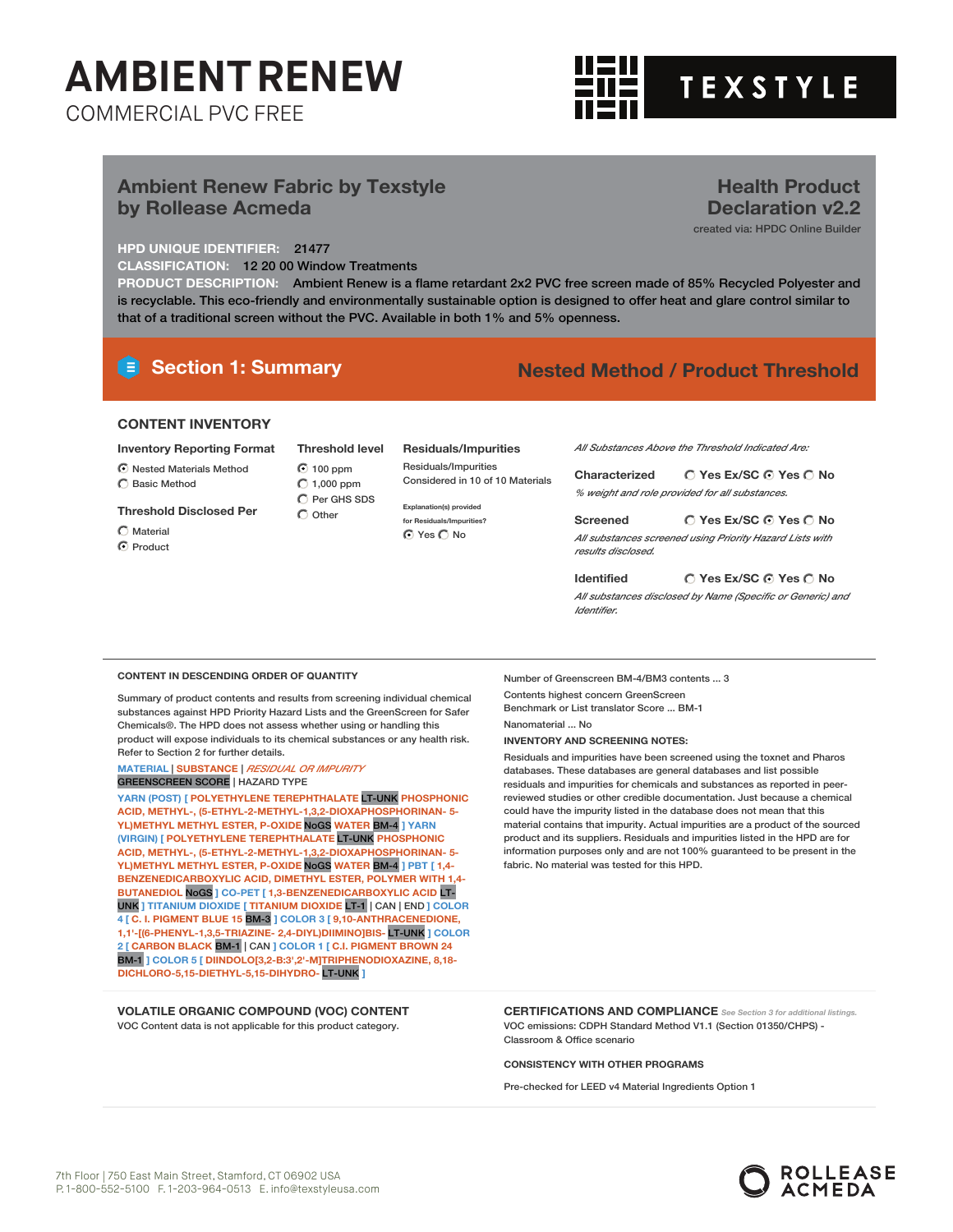

**Health Product Declaration v2.2** created via: HPDC Online Builder

### **Ambient Renew Fabric by Texstyle by Rollease Acmeda**

### **HPD UNIQUE IDENTIFIER:** 21477

**CLASSIFICATION:** 12 20 00 Window Treatments

**PRODUCT DESCRIPTION:** Ambient Renew is a flame retardant 2x2 PVC free screen made of 85% Recycled Polyester and is recyclable. This eco-friendly and environmentally sustainable option is designed to offer heat and glare control similar to that of a traditional screen without the PVC. Available in both 1% and 5% openness.

### **Section 1: Summary Nested Method / Product Threshold**

### **CONTENT INVENTORY**

**Inventory Reporting Format** Nested Materials Method

 $\bigcirc$  Basic Method

**Threshold Disclosed Per**

- $C$  Material C Product
- 100 ppm  $\bigcirc$  1,000 ppm Per GHS SDS  $\bigcirc$  Other

**Residuals/Impurities** Residuals/Impurities Considered in 10 of 10 Materials *All Substances Above the Threshold Indicated Are:*

**Yes Ex/SC Yes No Characterized** *% weight and role provided for all substances.*

**Yes Ex/SC Yes No Screened** *All substances screened using Priority Hazard Lists with results disclosed.*

**Yes Ex/SC Yes No Identified**

*All substances disclosed by Name (Specific or Generic) and Identifier.*

#### **CONTENT IN DESCENDING ORDER OF QUANTITY**

Summary of product contents and results from screening individual chemical substances against HPD Priority Hazard Lists and the GreenScreen for Safer Chemicals®. The HPD does not assess whether using or handling this product will expose individuals to its chemical substances or any health risk. Refer to Section 2 for further details.

**MATERIAL** | **SUBSTANCE** | *RESIDUAL OR IMPURITY* GREENSCREEN SCORE | HAZARD TYPE

**YARN (POST) [ POLYETHYLENE TEREPHTHALATE** LT-UNK **PHOSPHONIC ACID, METHYL-, (5-ETHYL-2-METHYL-1,3,2-DIOXAPHOSPHORINAN- 5- YL)METHYL METHYL ESTER, P-OXIDE** NoGS **WATER** BM-4 **] YARN (VIRGIN) [ POLYETHYLENE TEREPHTHALATE** LT-UNK **PHOSPHONIC ACID, METHYL-, (5-ETHYL-2-METHYL-1,3,2-DIOXAPHOSPHORINAN- 5- YL)METHYL METHYL ESTER, P-OXIDE** NoGS **WATER** BM-4 **] PBT [ 1,4- BENZENEDICARBOXYLIC ACID, DIMETHYL ESTER, POLYMER WITH 1,4- BUTANEDIOL** NoGS **] CO-PET [ 1,3-BENZENEDICARBOXYLIC ACID** LT-UNK **] TITANIUM DIOXIDE [ TITANIUM DIOXIDE** LT-1 | CAN | END **] COLOR 4 [ C. I. PIGMENT BLUE 15** BM-3 **] COLOR 3 [ 9,10-ANTHRACENEDIONE, 1,1'-[(6-PHENYL-1,3,5-TRIAZINE- 2,4-DIYL)DIIMINO]BIS-** LT-UNK **] COLOR 2 [ CARBON BLACK** BM-1 | CAN **] COLOR 1 [ C.I. PIGMENT BROWN 24** BM-1 **] COLOR 5 [ DIINDOLO[3,2-B:3',2'-M]TRIPHENODIOXAZINE, 8,18- DICHLORO-5,15-DIETHYL-5,15-DIHYDRO-** LT-UNK **]**

#### **VOLATILE ORGANIC COMPOUND (VOC) CONTENT** VOC Content data is not applicable for this product category.

Number of Greenscreen BM-4/BM3 contents ... 3 Contents highest concern GreenScreen Benchmark or List translator Score ... BM-1 Nanomaterial ... No

**INVENTORY AND SCREENING NOTES:**

Residuals and impurities have been screened using the toxnet and Pharos databases. These databases are general databases and list possible residuals and impurities for chemicals and substances as reported in peerreviewed studies or other credible documentation. Just because a chemical could have the impurity listed in the database does not mean that this material contains that impurity. Actual impurities are a product of the sourced product and its suppliers. Residuals and impurities listed in the HPD are for information purposes only and are not 100% guaranteed to be present in the fabric. No material was tested for this HPD.

**CERTIFICATIONS AND COMPLIANCE** *See Section <sup>3</sup> for additional listings.* VOC emissions: CDPH Standard Method V1.1 (Section 01350/CHPS) - Classroom & Office scenario

**CONSISTENCY WITH OTHER PROGRAMS**

Pre-checked for LEED v4 Material Ingredients Option 1



**Threshold level**

**Explanation(s) provided for Residuals/Impurities?** ⊙ Yes O No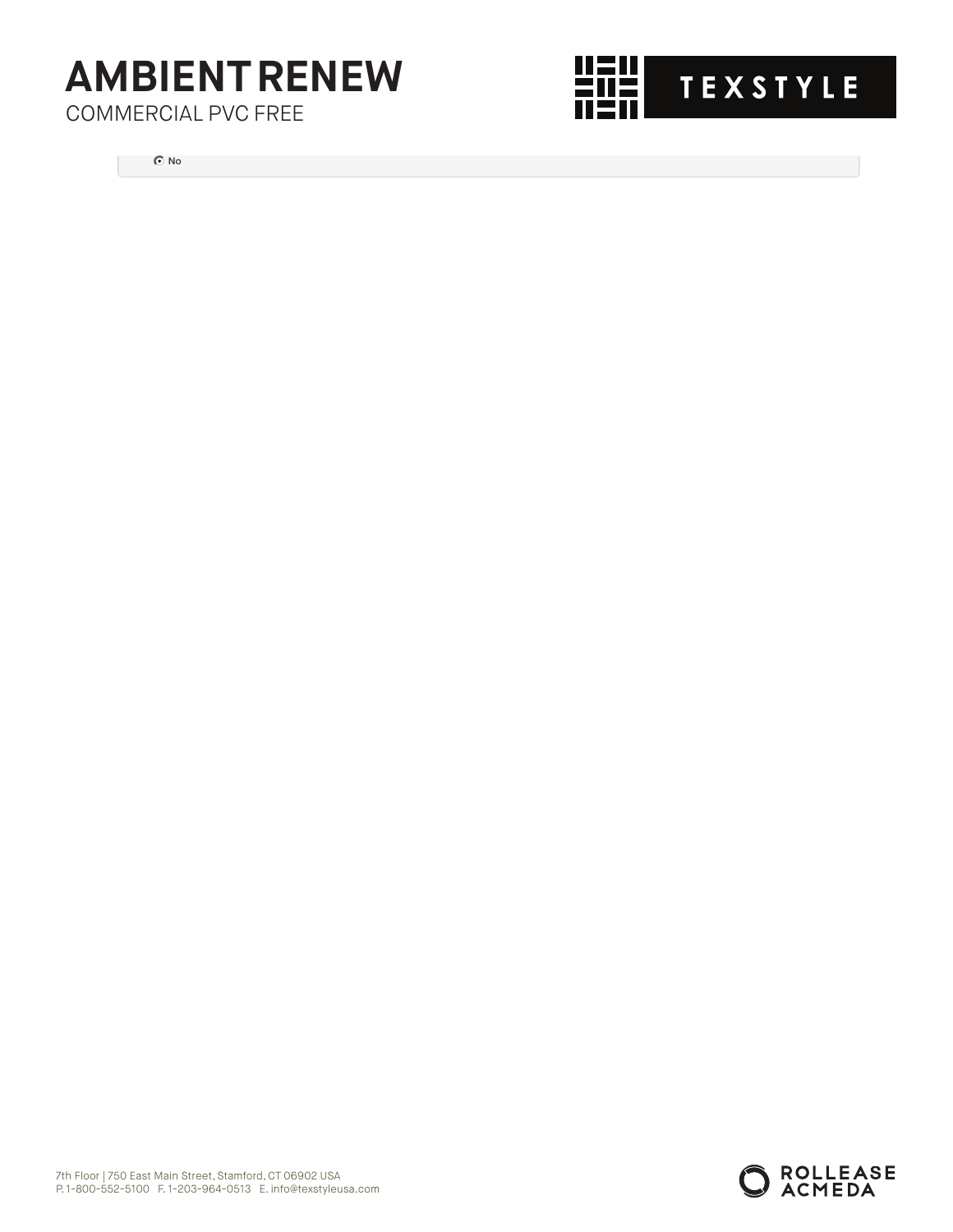COMMERCIAL PVC FREE



No

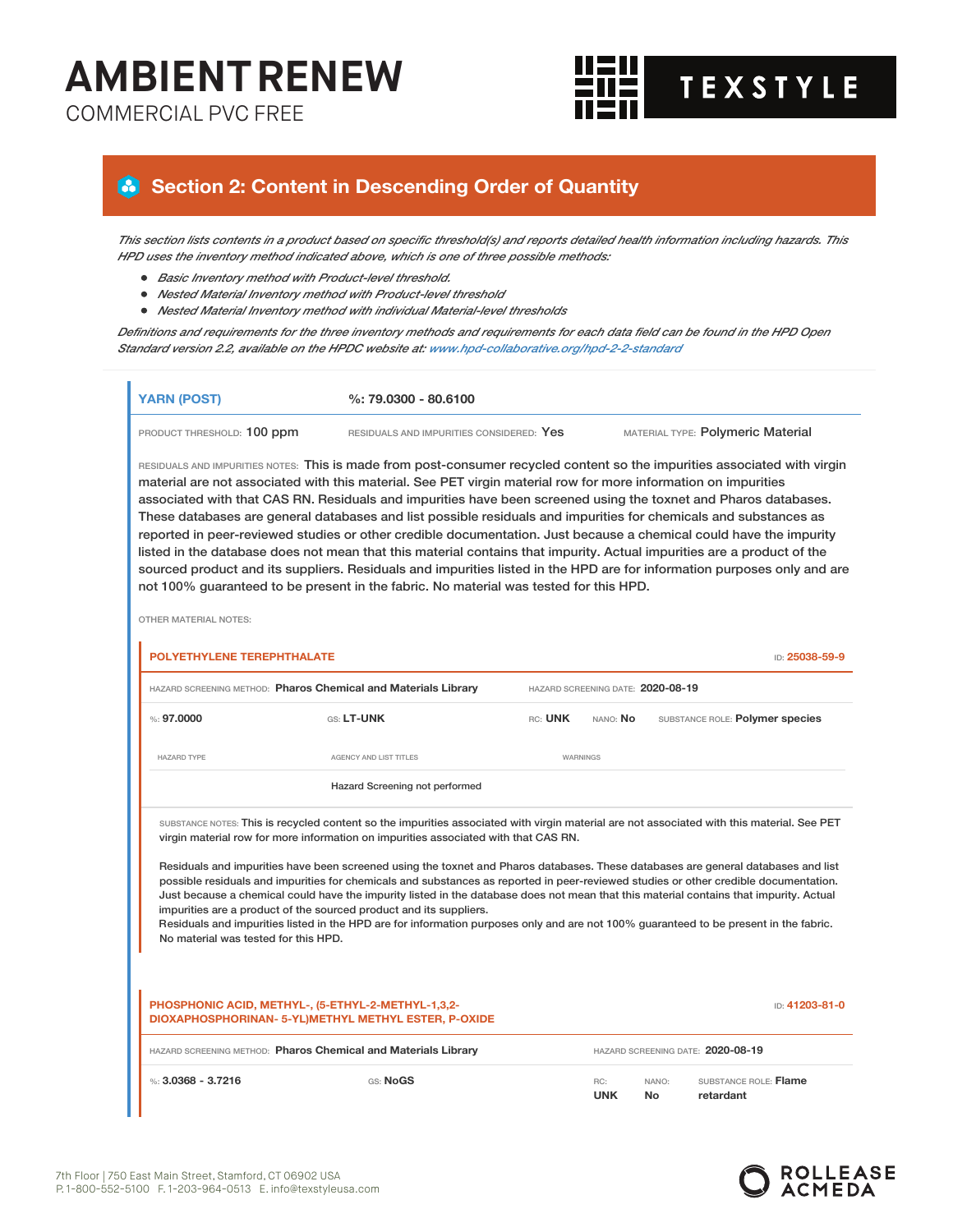COMMERCIAL PVC FREE



### **Section 2: Content in Descending Order of Quantity**

This section lists contents in a product based on specific threshold(s) and reports detailed health information including hazards. This *HPD uses the inventory method indicated above, which is one of three possible methods:*

- *Basic Inventory method with Product-level threshold.*
- *Nested Material Inventory method with Product-level threshold*
- *Nested Material Inventory method with individual Material-level thresholds*

Definitions and requirements for the three inventory methods and requirements for each data field can be found in the HPD Open *Standard version 2.2, available on the HPDC website at: www.hpd-collaborative.org/hpd-2-2-standard*

| <b>YARN (POST)</b>         | $\%: 79.0300 - 80.6100$                                                                                                   |                                   |
|----------------------------|---------------------------------------------------------------------------------------------------------------------------|-----------------------------------|
| PRODUCT THRESHOLD: 100 ppm | RESIDUALS AND IMPURITIES CONSIDERED: Yes                                                                                  | MATERIAL TYPE: Polymeric Material |
|                            | RESIDUALS AND IMPURITIES NOTES: This is made from post-consumer recycled content so the impurities associated with virgin |                                   |

material are not associated with this material. See PET virgin material row for more information on impurities associated with that CAS RN. Residuals and impurities have been screened using the toxnet and Pharos databases. These databases are general databases and list possible residuals and impurities for chemicals and substances as reported in peer-reviewed studies or other credible documentation. Just because a chemical could have the impurity listed in the database does not mean that this material contains that impurity. Actual impurities are a product of the sourced product and its suppliers. Residuals and impurities listed in the HPD are for information purposes only and are not 100% guaranteed to be present in the fabric. No material was tested for this HPD.

OTHER MATERIAL NOTES:

| POLYETHYLENE TEREPHTHALATE           |                                                                                                                                                                                                                                                                                                                                                                                                                                                                                                                                                                                                                                                                                                                                                                                                                                                                         |         |                                   |             | ID: 25038-59-9                     |
|--------------------------------------|-------------------------------------------------------------------------------------------------------------------------------------------------------------------------------------------------------------------------------------------------------------------------------------------------------------------------------------------------------------------------------------------------------------------------------------------------------------------------------------------------------------------------------------------------------------------------------------------------------------------------------------------------------------------------------------------------------------------------------------------------------------------------------------------------------------------------------------------------------------------------|---------|-----------------------------------|-------------|------------------------------------|
|                                      | HAZARD SCREENING METHOD: Pharos Chemical and Materials Library                                                                                                                                                                                                                                                                                                                                                                                                                                                                                                                                                                                                                                                                                                                                                                                                          |         | HAZARD SCREENING DATE: 2020-08-19 |             |                                    |
| $\%: 97.0000$                        | GS: LT-UNK                                                                                                                                                                                                                                                                                                                                                                                                                                                                                                                                                                                                                                                                                                                                                                                                                                                              | RC: UNK | NANO: No                          |             | SUBSTANCE ROLE: Polymer species    |
| <b>HAZARD TYPE</b>                   | AGENCY AND LIST TITLES                                                                                                                                                                                                                                                                                                                                                                                                                                                                                                                                                                                                                                                                                                                                                                                                                                                  |         | WARNINGS                          |             |                                    |
|                                      | Hazard Screening not performed                                                                                                                                                                                                                                                                                                                                                                                                                                                                                                                                                                                                                                                                                                                                                                                                                                          |         |                                   |             |                                    |
| No material was tested for this HPD. | SUBSTANCE NOTES: This is recycled content so the impurities associated with virgin material are not associated with this material. See PET<br>virgin material row for more information on impurities associated with that CAS RN.<br>Residuals and impurities have been screened using the toxnet and Pharos databases. These databases are general databases and list<br>possible residuals and impurities for chemicals and substances as reported in peer-reviewed studies or other credible documentation.<br>Just because a chemical could have the impurity listed in the database does not mean that this material contains that impurity. Actual<br>impurities are a product of the sourced product and its suppliers.<br>Residuals and impurities listed in the HPD are for information purposes only and are not 100% quaranteed to be present in the fabric. |         |                                   |             |                                    |
|                                      | PHOSPHONIC ACID, METHYL-, (5-ETHYL-2-METHYL-1,3,2-<br>DIOXAPHOSPHORINAN- 5-YL)METHYL METHYL ESTER, P-OXIDE                                                                                                                                                                                                                                                                                                                                                                                                                                                                                                                                                                                                                                                                                                                                                              |         |                                   |             | ID: 41203-81-0                     |
|                                      | HAZARD SCREENING METHOD: Pharos Chemical and Materials Library                                                                                                                                                                                                                                                                                                                                                                                                                                                                                                                                                                                                                                                                                                                                                                                                          |         |                                   |             | HAZARD SCREENING DATE: 2020-08-19  |
| %: $3.0368 - 3.7216$                 | GS: NoGS                                                                                                                                                                                                                                                                                                                                                                                                                                                                                                                                                                                                                                                                                                                                                                                                                                                                |         | RC:<br><b>UNK</b>                 | NANO:<br>No | SUBSTANCE ROLE: Flame<br>retardant |

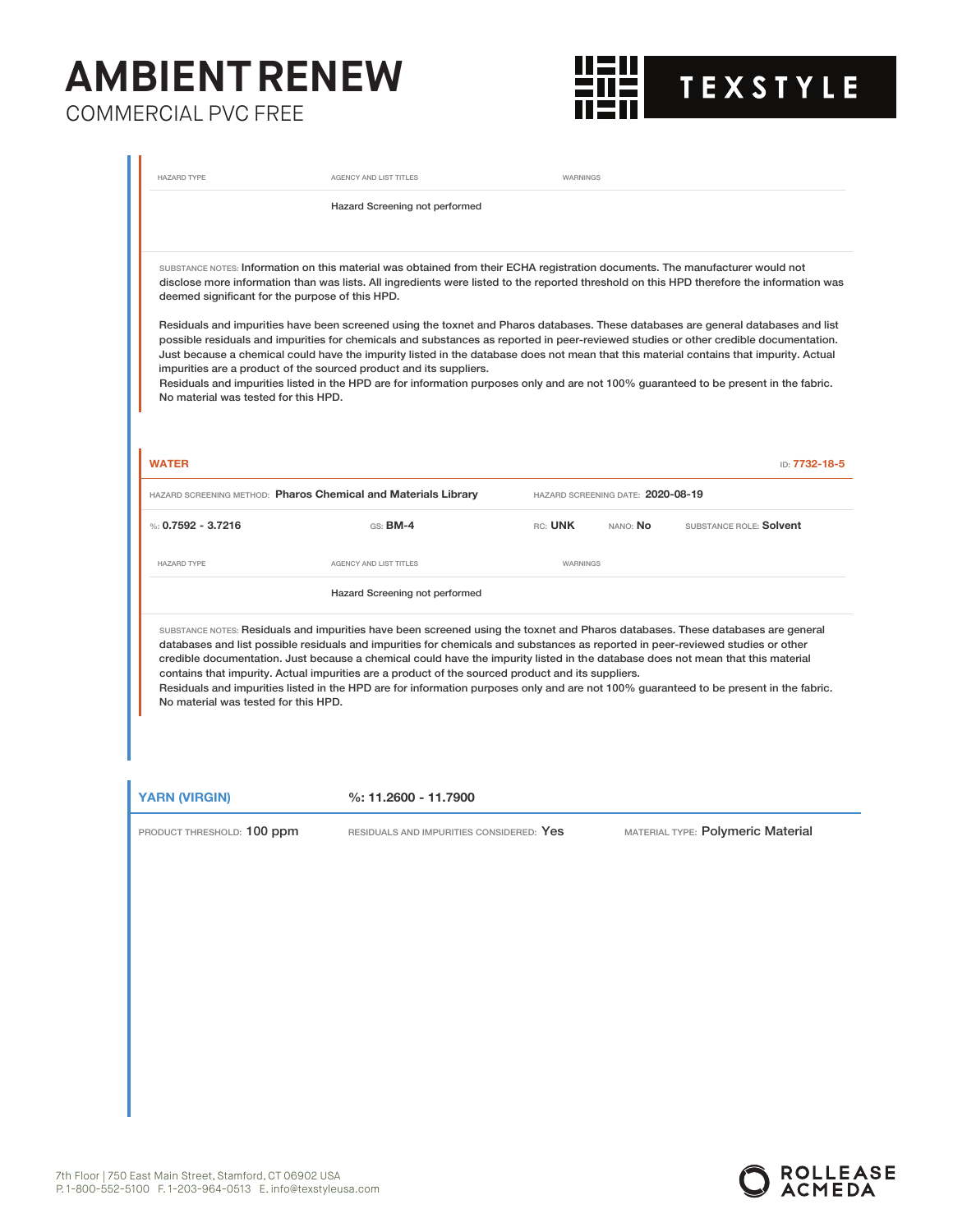

| <b>HAZARD TYPE</b>                                                                                      | AGENCY AND LIST TITLES                                                                                                                                                                                                                                                                                                                                                                                                                                                                                                                                                                                                                                                                                                                                                                                                                                                                                           | WARNINGS                          |          |                                   |               |
|---------------------------------------------------------------------------------------------------------|------------------------------------------------------------------------------------------------------------------------------------------------------------------------------------------------------------------------------------------------------------------------------------------------------------------------------------------------------------------------------------------------------------------------------------------------------------------------------------------------------------------------------------------------------------------------------------------------------------------------------------------------------------------------------------------------------------------------------------------------------------------------------------------------------------------------------------------------------------------------------------------------------------------|-----------------------------------|----------|-----------------------------------|---------------|
|                                                                                                         | Hazard Screening not performed                                                                                                                                                                                                                                                                                                                                                                                                                                                                                                                                                                                                                                                                                                                                                                                                                                                                                   |                                   |          |                                   |               |
| deemed significant for the purpose of this HPD.<br>No material was tested for this HPD.<br><b>WATER</b> | SUBSTANCE NOTES: Information on this material was obtained from their ECHA registration documents. The manufacturer would not<br>disclose more information than was lists. All ingredients were listed to the reported threshold on this HPD therefore the information was<br>Residuals and impurities have been screened using the toxnet and Pharos databases. These databases are general databases and list<br>possible residuals and impurities for chemicals and substances as reported in peer-reviewed studies or other credible documentation.<br>Just because a chemical could have the impurity listed in the database does not mean that this material contains that impurity. Actual<br>impurities are a product of the sourced product and its suppliers.<br>Residuals and impurities listed in the HPD are for information purposes only and are not 100% guaranteed to be present in the fabric. |                                   |          |                                   | ID: 7732-18-5 |
| <b>HAZARD SCREENING METHOD: Pharos Chemical and Materials Library</b>                                   |                                                                                                                                                                                                                                                                                                                                                                                                                                                                                                                                                                                                                                                                                                                                                                                                                                                                                                                  | HAZARD SCREENING DATE: 2020-08-19 |          |                                   |               |
| %: 0.7592 - 3.7216                                                                                      | GS: <b>BM-4</b>                                                                                                                                                                                                                                                                                                                                                                                                                                                                                                                                                                                                                                                                                                                                                                                                                                                                                                  | RC: UNK                           | NANO: No | SUBSTANCE ROLE: Solvent           |               |
| <b>HAZARD TYPE</b>                                                                                      | AGENCY AND LIST TITLES                                                                                                                                                                                                                                                                                                                                                                                                                                                                                                                                                                                                                                                                                                                                                                                                                                                                                           | WARNINGS                          |          |                                   |               |
|                                                                                                         | Hazard Screening not performed                                                                                                                                                                                                                                                                                                                                                                                                                                                                                                                                                                                                                                                                                                                                                                                                                                                                                   |                                   |          |                                   |               |
| No material was tested for this HPD.                                                                    | SUBSTANCE NOTES: Residuals and impurities have been screened using the toxnet and Pharos databases. These databases are general<br>databases and list possible residuals and impurities for chemicals and substances as reported in peer-reviewed studies or other<br>credible documentation. Just because a chemical could have the impurity listed in the database does not mean that this material<br>contains that impurity. Actual impurities are a product of the sourced product and its suppliers.<br>Residuals and impurities listed in the HPD are for information purposes only and are not 100% guaranteed to be present in the fabric.                                                                                                                                                                                                                                                              |                                   |          |                                   |               |
| <b>YARN (VIRGIN)</b>                                                                                    | %: 11.2600 - 11.7900                                                                                                                                                                                                                                                                                                                                                                                                                                                                                                                                                                                                                                                                                                                                                                                                                                                                                             |                                   |          |                                   |               |
| PRODUCT THRESHOLD: 100 ppm                                                                              | RESIDUALS AND IMPURITIES CONSIDERED: Yes                                                                                                                                                                                                                                                                                                                                                                                                                                                                                                                                                                                                                                                                                                                                                                                                                                                                         |                                   |          | MATERIAL TYPE: Polymeric Material |               |
|                                                                                                         |                                                                                                                                                                                                                                                                                                                                                                                                                                                                                                                                                                                                                                                                                                                                                                                                                                                                                                                  |                                   |          |                                   |               |

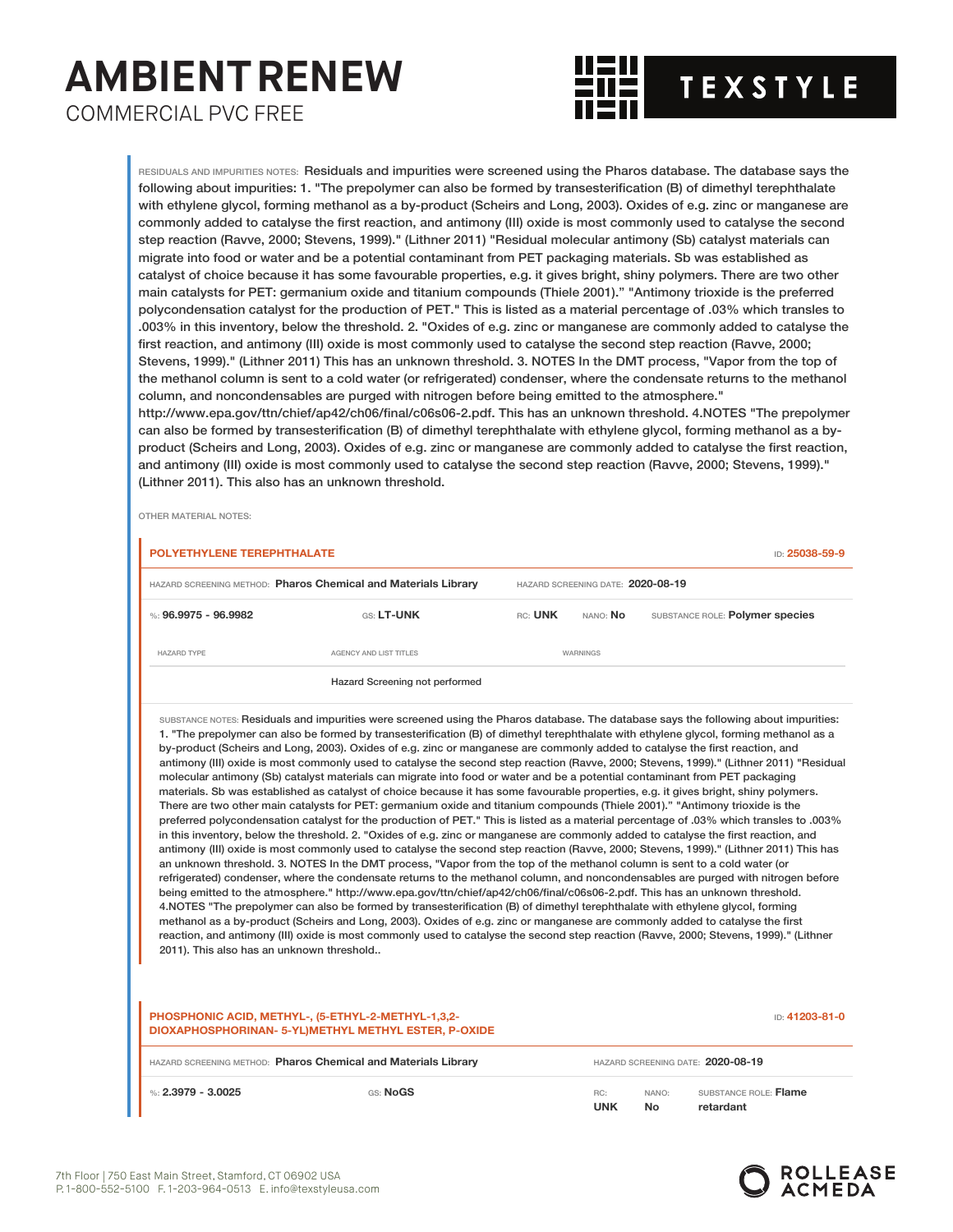

RESIDUALS AND IMPURITIES NOTES: Residuals and impurities were screened using the Pharos database. The database says the following about impurities: 1. "The prepolymer can also be formed by transesterification (B) of dimethyl terephthalate with ethylene glycol, forming methanol as a by-product (Scheirs and Long, 2003). Oxides of e.g. zinc or manganese are commonly added to catalyse the first reaction, and antimony (III) oxide is most commonly used to catalyse the second step reaction (Ravve, 2000; Stevens, 1999)." (Lithner 2011) "Residual molecular antimony (Sb) catalyst materials can migrate into food or water and be a potential contaminant from PET packaging materials. Sb was established as catalyst of choice because it has some favourable properties, e.g. it gives bright, shiny polymers. There are two other main catalysts for PET: germanium oxide and titanium compounds (Thiele 2001)." "Antimony trioxide is the preferred polycondensation catalyst for the production of PET." This is listed as a material percentage of .03% which transles to .003% in this inventory, below the threshold. 2. "Oxides of e.g. zinc or manganese are commonly added to catalyse the first reaction, and antimony (III) oxide is most commonly used to catalyse the second step reaction (Ravve, 2000; Stevens, 1999)." (Lithner 2011) This has an unknown threshold. 3. NOTES In the DMT process, "Vapor from the top of the methanol column is sent to a cold water (or refrigerated) condenser, where the condensate returns to the methanol column, and noncondensables are purged with nitrogen before being emitted to the atmosphere." http://www.epa.gov/ttn/chief/ap42/ch06/final/c06s06-2.pdf. This has an unknown threshold. 4.NOTES "The prepolymer can also be formed by transesterification (B) of dimethyl terephthalate with ethylene glycol, forming methanol as a by-

product (Scheirs and Long, 2003). Oxides of e.g. zinc or manganese are commonly added to catalyse the first reaction, and antimony (III) oxide is most commonly used to catalyse the second step reaction (Ravve, 2000; Stevens, 1999)." (Lithner 2011). This also has an unknown threshold.

OTHER MATERIAL NOTES:

| <b>POLYETHYLENE TEREPHTHALATE</b>         |                                                                                                                                                                                                                                                                                                                                                                                                                                                                                                                                                                                                                                                                                                                                                                                                                                                                                                                                                                                                                                                                                                                                                                                                                                                                                                                                                                                                                                                                                                                                                                                                                                                                                                                                                                                                                                                                                                                                                                                                                                                                                                                                                                                                                |         |                                   |                                   | ID: 25038-59-9                  |
|-------------------------------------------|----------------------------------------------------------------------------------------------------------------------------------------------------------------------------------------------------------------------------------------------------------------------------------------------------------------------------------------------------------------------------------------------------------------------------------------------------------------------------------------------------------------------------------------------------------------------------------------------------------------------------------------------------------------------------------------------------------------------------------------------------------------------------------------------------------------------------------------------------------------------------------------------------------------------------------------------------------------------------------------------------------------------------------------------------------------------------------------------------------------------------------------------------------------------------------------------------------------------------------------------------------------------------------------------------------------------------------------------------------------------------------------------------------------------------------------------------------------------------------------------------------------------------------------------------------------------------------------------------------------------------------------------------------------------------------------------------------------------------------------------------------------------------------------------------------------------------------------------------------------------------------------------------------------------------------------------------------------------------------------------------------------------------------------------------------------------------------------------------------------------------------------------------------------------------------------------------------------|---------|-----------------------------------|-----------------------------------|---------------------------------|
|                                           | HAZARD SCREENING METHOD: Pharos Chemical and Materials Library                                                                                                                                                                                                                                                                                                                                                                                                                                                                                                                                                                                                                                                                                                                                                                                                                                                                                                                                                                                                                                                                                                                                                                                                                                                                                                                                                                                                                                                                                                                                                                                                                                                                                                                                                                                                                                                                                                                                                                                                                                                                                                                                                 |         | HAZARD SCREENING DATE: 2020-08-19 |                                   |                                 |
| %: 96.9975 - 96.9982                      | GS: LT-UNK                                                                                                                                                                                                                                                                                                                                                                                                                                                                                                                                                                                                                                                                                                                                                                                                                                                                                                                                                                                                                                                                                                                                                                                                                                                                                                                                                                                                                                                                                                                                                                                                                                                                                                                                                                                                                                                                                                                                                                                                                                                                                                                                                                                                     | RC: UNK | NANO: No                          |                                   | SUBSTANCE ROLE: Polymer species |
| <b>HAZARD TYPE</b>                        | AGENCY AND LIST TITLES                                                                                                                                                                                                                                                                                                                                                                                                                                                                                                                                                                                                                                                                                                                                                                                                                                                                                                                                                                                                                                                                                                                                                                                                                                                                                                                                                                                                                                                                                                                                                                                                                                                                                                                                                                                                                                                                                                                                                                                                                                                                                                                                                                                         |         | WARNINGS                          |                                   |                                 |
|                                           | Hazard Screening not performed                                                                                                                                                                                                                                                                                                                                                                                                                                                                                                                                                                                                                                                                                                                                                                                                                                                                                                                                                                                                                                                                                                                                                                                                                                                                                                                                                                                                                                                                                                                                                                                                                                                                                                                                                                                                                                                                                                                                                                                                                                                                                                                                                                                 |         |                                   |                                   |                                 |
| 2011). This also has an unknown threshold | SUBSTANCE NOTES: Residuals and impurities were screened using the Pharos database. The database says the following about impurities:<br>1. "The prepolymer can also be formed by transesterification (B) of dimethyl terephthalate with ethylene glycol, forming methanol as a<br>by-product (Scheirs and Long, 2003). Oxides of e.g. zinc or manganese are commonly added to catalyse the first reaction, and<br>antimony (III) oxide is most commonly used to catalyse the second step reaction (Ravve, 2000; Stevens, 1999)." (Lithner 2011) "Residual<br>molecular antimony (Sb) catalyst materials can migrate into food or water and be a potential contaminant from PET packaging<br>materials. Sb was established as catalyst of choice because it has some favourable properties, e.g. it gives bright, shiny polymers.<br>There are two other main catalysts for PET: germanium oxide and titanium compounds (Thiele 2001)." "Antimony trioxide is the<br>003%. preferred polycondensation catalyst for the production of PET." This is listed as a material percentage of .03% which transles to .003%<br>in this inventory, below the threshold. 2. "Oxides of e.g. zinc or manganese are commonly added to catalyse the first reaction, and<br>antimony (III) oxide is most commonly used to catalyse the second step reaction (Ravve, 2000; Stevens, 1999)." (Lithner 2011) This has<br>an unknown threshold. 3. NOTES In the DMT process, "Vapor from the top of the methanol column is sent to a cold water (or<br>refrigerated) condenser, where the condensate returns to the methanol column, and noncondensables are purged with nitrogen before<br>being emitted to the atmosphere." http://www.epa.gov/ttn/chief/ap42/ch06/final/c06s06-2.pdf. This has an unknown threshold.<br>4. NOTES "The prepolymer can also be formed by transesterification (B) of dimethyl terephthalate with ethylene glycol, forming<br>methanol as a by-product (Scheirs and Long, 2003). Oxides of e.g. zinc or manganese are commonly added to catalyse the first<br>reaction, and antimony (III) oxide is most commonly used to catalyse the second step reaction (Ravve, 2000; Stevens, 1999)." (Lithner |         |                                   |                                   |                                 |
|                                           | PHOSPHONIC ACID, METHYL-, (5-ETHYL-2-METHYL-1,3,2-<br>DIOXAPHOSPHORINAN- 5-YL)METHYL METHYL ESTER, P-OXIDE                                                                                                                                                                                                                                                                                                                                                                                                                                                                                                                                                                                                                                                                                                                                                                                                                                                                                                                                                                                                                                                                                                                                                                                                                                                                                                                                                                                                                                                                                                                                                                                                                                                                                                                                                                                                                                                                                                                                                                                                                                                                                                     |         |                                   |                                   | ID: 41203-81-0                  |
|                                           | HAZARD SCREENING METHOD: Pharos Chemical and Materials Library                                                                                                                                                                                                                                                                                                                                                                                                                                                                                                                                                                                                                                                                                                                                                                                                                                                                                                                                                                                                                                                                                                                                                                                                                                                                                                                                                                                                                                                                                                                                                                                                                                                                                                                                                                                                                                                                                                                                                                                                                                                                                                                                                 |         |                                   | HAZARD SCREENING DATE: 2020-08-19 |                                 |
| %: $2.3979 - 3.0025$                      | GS: NoGS                                                                                                                                                                                                                                                                                                                                                                                                                                                                                                                                                                                                                                                                                                                                                                                                                                                                                                                                                                                                                                                                                                                                                                                                                                                                                                                                                                                                                                                                                                                                                                                                                                                                                                                                                                                                                                                                                                                                                                                                                                                                                                                                                                                                       |         | RC:                               | NANO:                             | SUBSTANCE ROLE: Flame           |

**UNK**

**No**

**retardant**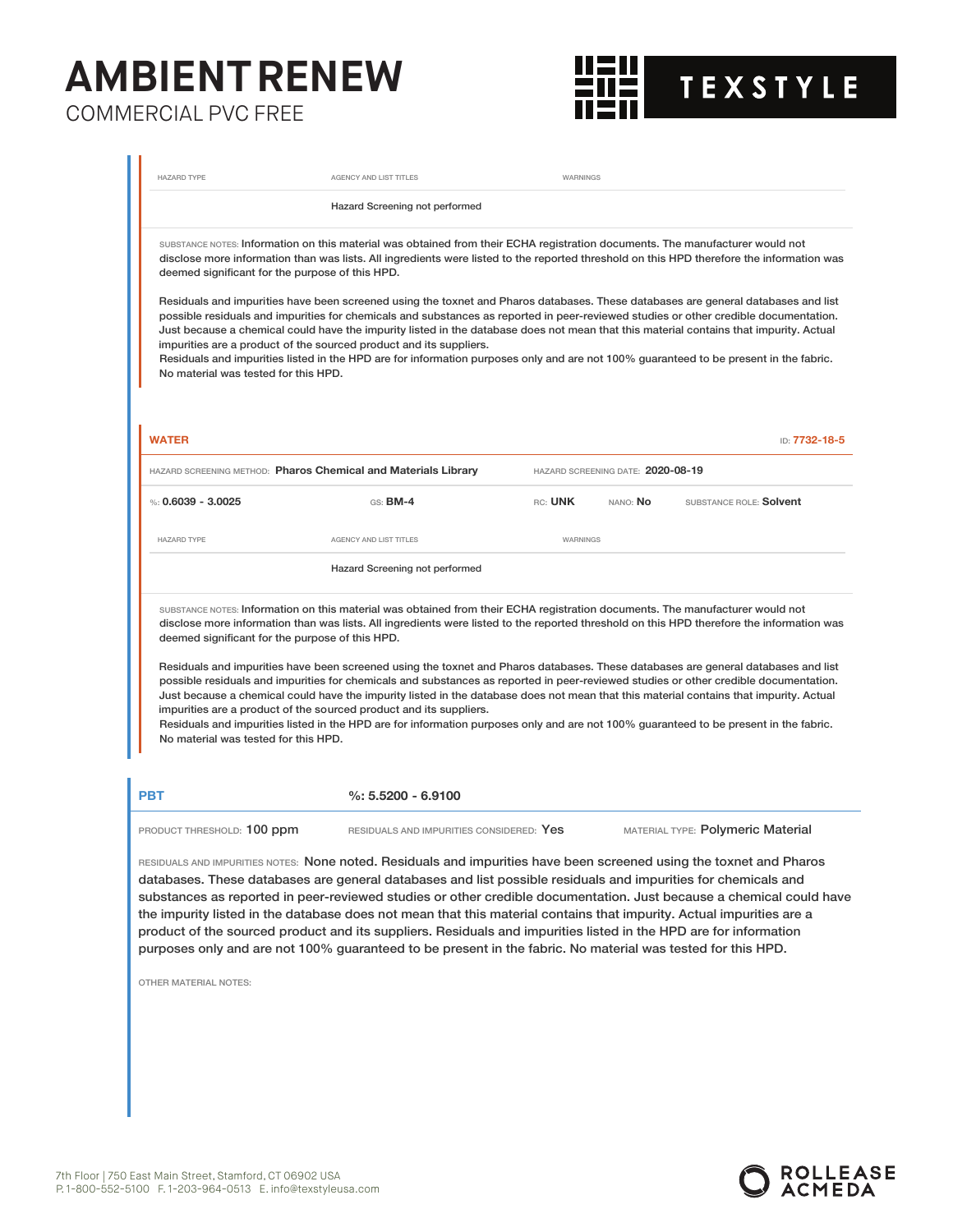

| <b>HAZARD TYPE</b><br>deemed significant for the purpose of this HPD.                   | AGENCY AND LIST TITLES<br>Hazard Screening not performed<br>SUBSTANCE NOTES: Information on this material was obtained from their ECHA registration documents. The manufacturer would not<br>disclose more information than was lists. All ingredients were listed to the reported threshold on this HPD therefore the information was<br>Residuals and impurities have been screened using the toxnet and Pharos databases. These databases are general databases and list                                                                                                                                                                                                                                                                                                                                                                                                                                      | WARNINGS |                                   |                                   |
|-----------------------------------------------------------------------------------------|------------------------------------------------------------------------------------------------------------------------------------------------------------------------------------------------------------------------------------------------------------------------------------------------------------------------------------------------------------------------------------------------------------------------------------------------------------------------------------------------------------------------------------------------------------------------------------------------------------------------------------------------------------------------------------------------------------------------------------------------------------------------------------------------------------------------------------------------------------------------------------------------------------------|----------|-----------------------------------|-----------------------------------|
|                                                                                         |                                                                                                                                                                                                                                                                                                                                                                                                                                                                                                                                                                                                                                                                                                                                                                                                                                                                                                                  |          |                                   |                                   |
|                                                                                         |                                                                                                                                                                                                                                                                                                                                                                                                                                                                                                                                                                                                                                                                                                                                                                                                                                                                                                                  |          |                                   |                                   |
| No material was tested for this HPD.                                                    | possible residuals and impurities for chemicals and substances as reported in peer-reviewed studies or other credible documentation.<br>Just because a chemical could have the impurity listed in the database does not mean that this material contains that impurity. Actual<br>impurities are a product of the sourced product and its suppliers.<br>Residuals and impurities listed in the HPD are for information purposes only and are not 100% guaranteed to be present in the fabric.                                                                                                                                                                                                                                                                                                                                                                                                                    |          |                                   |                                   |
| <b>WATER</b>                                                                            |                                                                                                                                                                                                                                                                                                                                                                                                                                                                                                                                                                                                                                                                                                                                                                                                                                                                                                                  |          |                                   | ID: 7732-18-5                     |
|                                                                                         | HAZARD SCREENING METHOD: Pharos Chemical and Materials Library                                                                                                                                                                                                                                                                                                                                                                                                                                                                                                                                                                                                                                                                                                                                                                                                                                                   |          | HAZARD SCREENING DATE: 2020-08-19 |                                   |
| %: $0.6039 - 3.0025$                                                                    | GS: <b>BM-4</b>                                                                                                                                                                                                                                                                                                                                                                                                                                                                                                                                                                                                                                                                                                                                                                                                                                                                                                  | RC: UNK  | NANO: No                          | SUBSTANCE ROLE: Solvent           |
| <b>HAZARD TYPE</b>                                                                      | AGENCY AND LIST TITLES                                                                                                                                                                                                                                                                                                                                                                                                                                                                                                                                                                                                                                                                                                                                                                                                                                                                                           | WARNINGS |                                   |                                   |
|                                                                                         | Hazard Screening not performed                                                                                                                                                                                                                                                                                                                                                                                                                                                                                                                                                                                                                                                                                                                                                                                                                                                                                   |          |                                   |                                   |
| deemed significant for the purpose of this HPD.<br>No material was tested for this HPD. | SUBSTANCE NOTES: Information on this material was obtained from their ECHA registration documents. The manufacturer would not<br>disclose more information than was lists. All ingredients were listed to the reported threshold on this HPD therefore the information was<br>Residuals and impurities have been screened using the toxnet and Pharos databases. These databases are general databases and list<br>possible residuals and impurities for chemicals and substances as reported in peer-reviewed studies or other credible documentation.<br>Just because a chemical could have the impurity listed in the database does not mean that this material contains that impurity. Actual<br>impurities are a product of the sourced product and its suppliers.<br>Residuals and impurities listed in the HPD are for information purposes only and are not 100% guaranteed to be present in the fabric. |          |                                   |                                   |
| <b>PBT</b>                                                                              | $\%: 5.5200 - 6.9100$                                                                                                                                                                                                                                                                                                                                                                                                                                                                                                                                                                                                                                                                                                                                                                                                                                                                                            |          |                                   |                                   |
| PRODUCT THRESHOLD: 100 ppm                                                              | RESIDUALS AND IMPURITIES CONSIDERED: Yes                                                                                                                                                                                                                                                                                                                                                                                                                                                                                                                                                                                                                                                                                                                                                                                                                                                                         |          |                                   | MATERIAL TYPE: Polymeric Material |
| OTHER MATERIAL NOTES:                                                                   | RESIDUALS AND IMPURITIES NOTES: None noted. Residuals and impurities have been screened using the toxnet and Pharos<br>databases. These databases are general databases and list possible residuals and impurities for chemicals and<br>substances as reported in peer-reviewed studies or other credible documentation. Just because a chemical could have<br>the impurity listed in the database does not mean that this material contains that impurity. Actual impurities are a<br>product of the sourced product and its suppliers. Residuals and impurities listed in the HPD are for information<br>purposes only and are not 100% guaranteed to be present in the fabric. No material was tested for this HPD.                                                                                                                                                                                           |          |                                   |                                   |

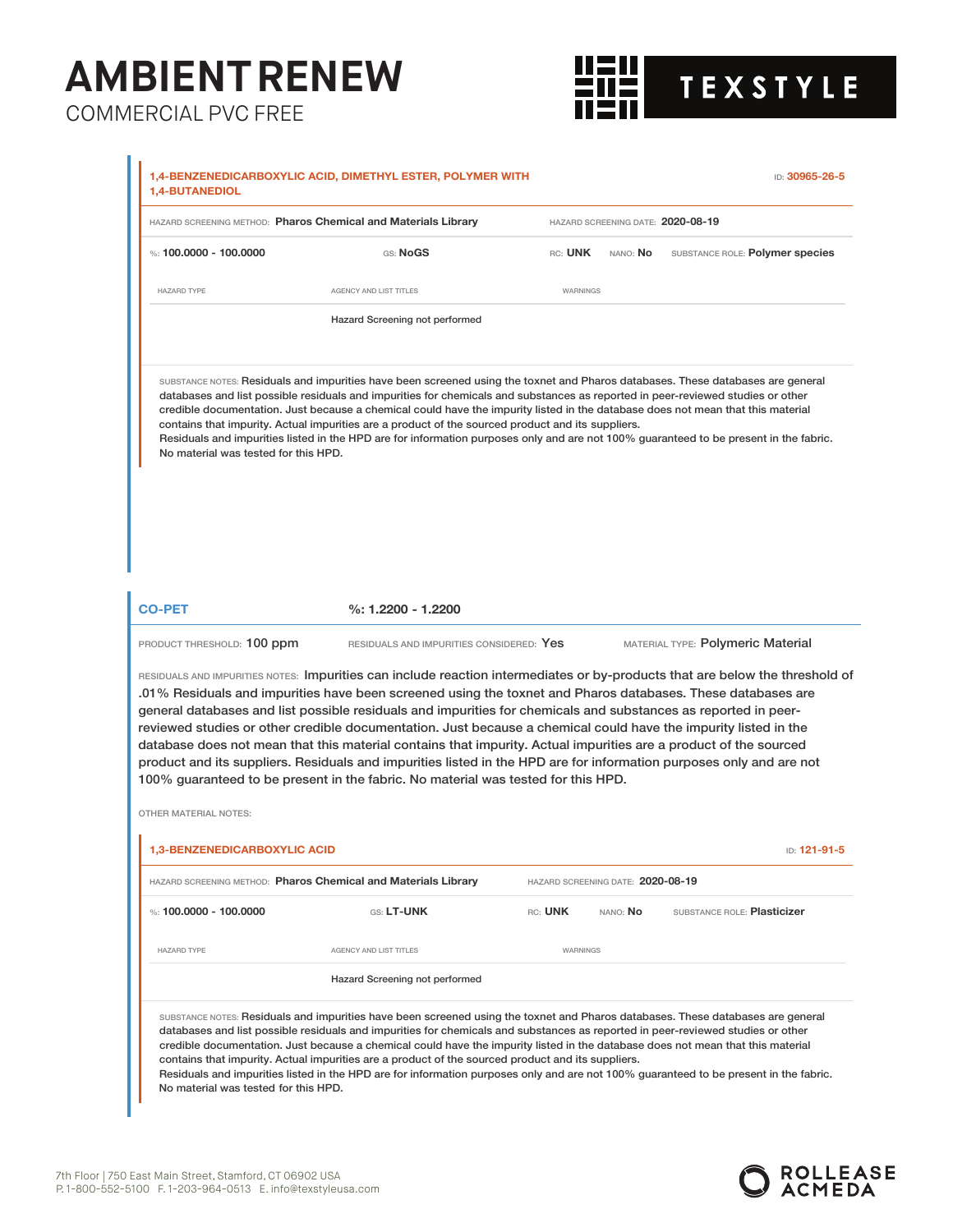鼺 **TEXSTYLE** 

|                                             | HAZARD SCREENING METHOD: Pharos Chemical and Materials Library                                                                                                                                                                                                                                                                                                                                                                                                                                                                                                                                                                                                                                                                                                                                                   |                                   | HAZARD SCREENING DATE: 2020-08-19 |                                   |              |
|---------------------------------------------|------------------------------------------------------------------------------------------------------------------------------------------------------------------------------------------------------------------------------------------------------------------------------------------------------------------------------------------------------------------------------------------------------------------------------------------------------------------------------------------------------------------------------------------------------------------------------------------------------------------------------------------------------------------------------------------------------------------------------------------------------------------------------------------------------------------|-----------------------------------|-----------------------------------|-----------------------------------|--------------|
| %: 100.0000 - 100.0000                      | GS: NoGS                                                                                                                                                                                                                                                                                                                                                                                                                                                                                                                                                                                                                                                                                                                                                                                                         | rc: <b>UNK</b>                    | NANO: No                          | SUBSTANCE ROLE: Polymer species   |              |
| <b>HAZARD TYPE</b>                          | AGENCY AND LIST TITLES                                                                                                                                                                                                                                                                                                                                                                                                                                                                                                                                                                                                                                                                                                                                                                                           | <b>WARNINGS</b>                   |                                   |                                   |              |
|                                             | Hazard Screening not performed                                                                                                                                                                                                                                                                                                                                                                                                                                                                                                                                                                                                                                                                                                                                                                                   |                                   |                                   |                                   |              |
| No material was tested for this HPD.        | SUBSTANCE NOTES: Residuals and impurities have been screened using the toxnet and Pharos databases. These databases are general<br>databases and list possible residuals and impurities for chemicals and substances as reported in peer-reviewed studies or other<br>credible documentation. Just because a chemical could have the impurity listed in the database does not mean that this material<br>contains that impurity. Actual impurities are a product of the sourced product and its suppliers.<br>Residuals and impurities listed in the HPD are for information purposes only and are not 100% guaranteed to be present in the fabric.                                                                                                                                                              |                                   |                                   |                                   |              |
| <b>CO-PET</b><br>PRODUCT THRESHOLD: 100 ppm | %: 1.2200 - 1.2200<br>RESIDUALS AND IMPURITIES CONSIDERED: Yes                                                                                                                                                                                                                                                                                                                                                                                                                                                                                                                                                                                                                                                                                                                                                   |                                   |                                   | MATERIAL TYPE: Polymeric Material |              |
| <b>OTHER MATERIAL NOTES:</b>                | RESIDUALS AND IMPURITIES NOTES: Impurities can include reaction intermediates or by-products that are below the threshold of<br>.01% Residuals and impurities have been screened using the toxnet and Pharos databases. These databases are<br>general databases and list possible residuals and impurities for chemicals and substances as reported in peer-<br>reviewed studies or other credible documentation. Just because a chemical could have the impurity listed in the<br>database does not mean that this material contains that impurity. Actual impurities are a product of the sourced<br>product and its suppliers. Residuals and impurities listed in the HPD are for information purposes only and are not<br>100% guaranteed to be present in the fabric. No material was tested for this HPD. |                                   |                                   |                                   |              |
|                                             |                                                                                                                                                                                                                                                                                                                                                                                                                                                                                                                                                                                                                                                                                                                                                                                                                  |                                   |                                   |                                   |              |
| 1,3-BENZENEDICARBOXYLIC ACID                | HAZARD SCREENING METHOD: Pharos Chemical and Materials Library                                                                                                                                                                                                                                                                                                                                                                                                                                                                                                                                                                                                                                                                                                                                                   | HAZARD SCREENING DATE: 2020-08-19 |                                   |                                   | ID: 121-91-5 |
| %: 100.0000 - 100.0000                      | GS: LT-UNK                                                                                                                                                                                                                                                                                                                                                                                                                                                                                                                                                                                                                                                                                                                                                                                                       | RC: UNK                           | nano: <b>No</b>                   | SUBSTANCE ROLE: Plasticizer       |              |
| <b>HAZARD TYPE</b>                          | AGENCY AND LIST TITLES                                                                                                                                                                                                                                                                                                                                                                                                                                                                                                                                                                                                                                                                                                                                                                                           | WARNINGS                          |                                   |                                   |              |
|                                             | Hazard Screening not performed                                                                                                                                                                                                                                                                                                                                                                                                                                                                                                                                                                                                                                                                                                                                                                                   |                                   |                                   |                                   |              |
|                                             |                                                                                                                                                                                                                                                                                                                                                                                                                                                                                                                                                                                                                                                                                                                                                                                                                  |                                   |                                   |                                   |              |

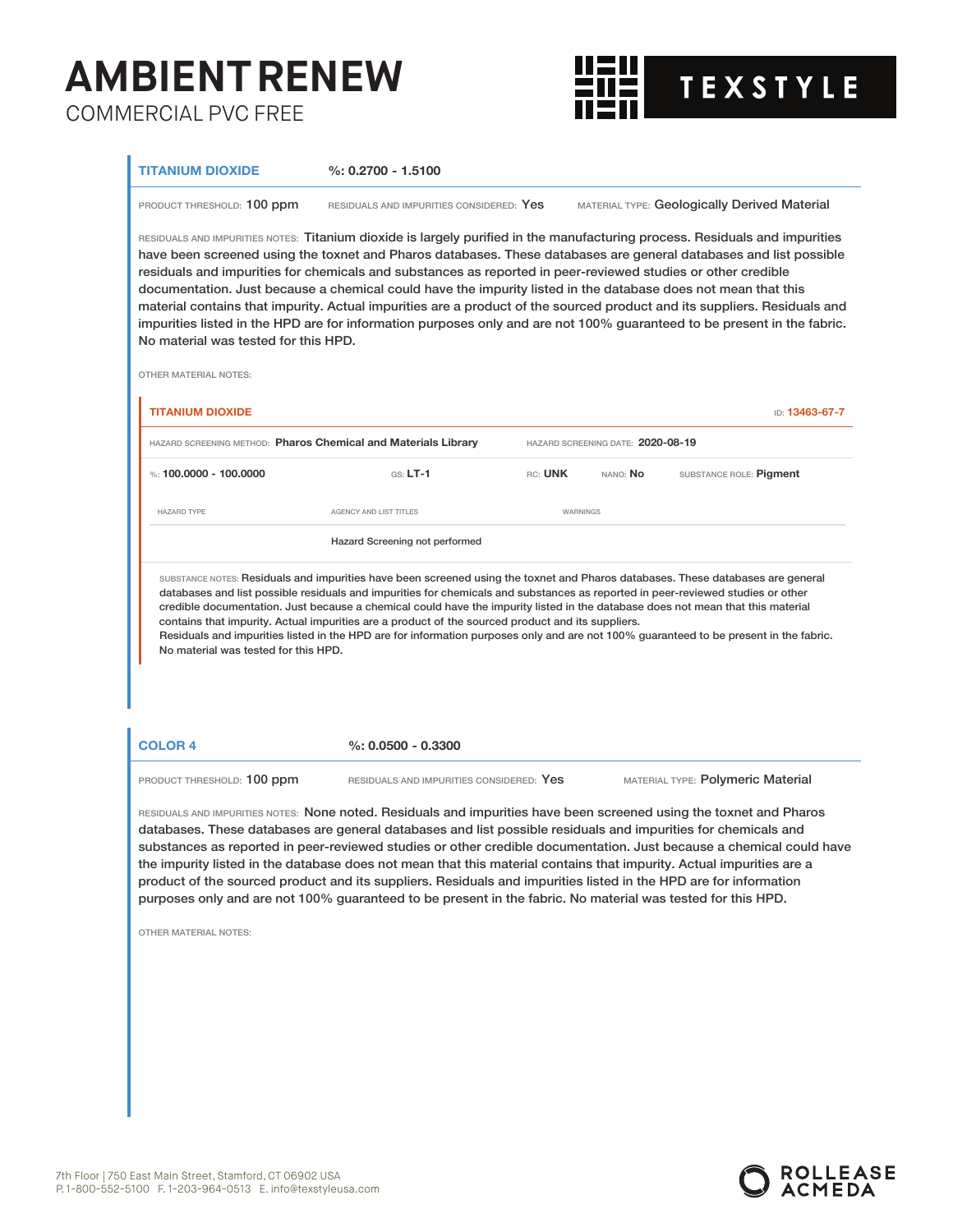

### **TITANIUM DIOXIDE %: 0.2700 - 1.5100**

PRODUCT THRESHOLD: 100 ppm RESIDUALS AND IMPURITIES CONSIDERED: Yes MATERIAL TYPE: Geologically Derived Material

RESIDUALS AND IMPURITIES NOTES: Titanium dioxide is largely purified in the manufacturing process. Residuals and impurities have been screened using the toxnet and Pharos databases. These databases are general databases and list possible residuals and impurities for chemicals and substances as reported in peer-reviewed studies or other credible documentation. Just because a chemical could have the impurity listed in the database does not mean that this material contains that impurity. Actual impurities are a product of the sourced product and its suppliers. Residuals and impurities listed in the HPD are for information purposes only and are not 100% guaranteed to be present in the fabric. No material was tested for this HPD.

OTHER MATERIAL NOTES:

| <b>TITANIUM DIOXIDE</b>                                               |                                                                                                                                                                                                                                                                                                                                                                                                                                                                                                                                                                                                                                                     |                 |                                   | <b>ID: 13463-67-7</b>   |
|-----------------------------------------------------------------------|-----------------------------------------------------------------------------------------------------------------------------------------------------------------------------------------------------------------------------------------------------------------------------------------------------------------------------------------------------------------------------------------------------------------------------------------------------------------------------------------------------------------------------------------------------------------------------------------------------------------------------------------------------|-----------------|-----------------------------------|-------------------------|
| <b>HAZARD SCREENING METHOD: Pharos Chemical and Materials Library</b> |                                                                                                                                                                                                                                                                                                                                                                                                                                                                                                                                                                                                                                                     |                 | HAZARD SCREENING DATE: 2020-08-19 |                         |
| $\%$ 100,0000 - 100,0000                                              | $GS: LT-1$                                                                                                                                                                                                                                                                                                                                                                                                                                                                                                                                                                                                                                          | RC: UNK         | nano: <b>No</b>                   | SUBSTANCE ROLE: Pigment |
| <b>HAZARD TYPE</b>                                                    | AGENCY AND LIST TITLES                                                                                                                                                                                                                                                                                                                                                                                                                                                                                                                                                                                                                              | <b>WARNINGS</b> |                                   |                         |
|                                                                       | Hazard Screening not performed                                                                                                                                                                                                                                                                                                                                                                                                                                                                                                                                                                                                                      |                 |                                   |                         |
| No material was tested for this HPD.                                  | SUBSTANCE NOTES: Residuals and impurities have been screened using the toxnet and Pharos databases. These databases are general<br>databases and list possible residuals and impurities for chemicals and substances as reported in peer-reviewed studies or other<br>credible documentation. Just because a chemical could have the impurity listed in the database does not mean that this material<br>contains that impurity. Actual impurities are a product of the sourced product and its suppliers.<br>Residuals and impurities listed in the HPD are for information purposes only and are not 100% quaranteed to be present in the fabric. |                 |                                   |                         |

**COLOR 4 %: 0.0500 - 0.3300**

PRODUCT THRESHOLD: 100 ppm RESIDUALS AND IMPURITIES CONSIDERED: Yes MATERIAL TYPE: Polymeric Material

RESIDUALS AND IMPURITIES NOTES: None noted. Residuals and impurities have been screened using the toxnet and Pharos databases. These databases are general databases and list possible residuals and impurities for chemicals and substances as reported in peer-reviewed studies or other credible documentation. Just because a chemical could have the impurity listed in the database does not mean that this material contains that impurity. Actual impurities are a product of the sourced product and its suppliers. Residuals and impurities listed in the HPD are for information purposes only and are not 100% guaranteed to be present in the fabric. No material was tested for this HPD.

OTHER MATERIAL NOTES:

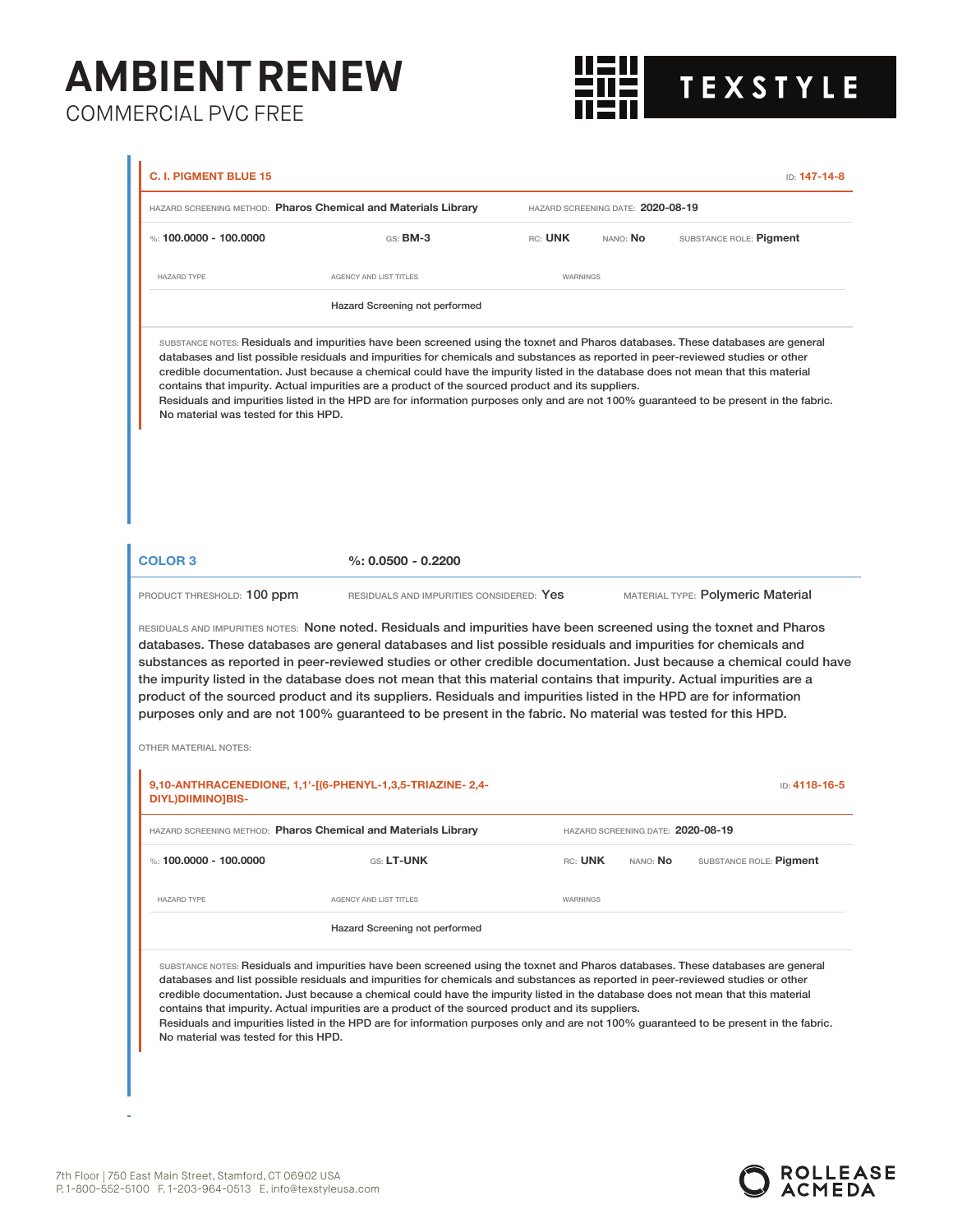鼺 **TEXSTYLE** 

|                                              | HAZARD SCREENING METHOD: Pharos Chemical and Materials Library                                                                                                                                                                                                                                                                                                                                                                                                                                                                                                                                                                                      |          | HAZARD SCREENING DATE: 2020-08-19 |                                   |
|----------------------------------------------|-----------------------------------------------------------------------------------------------------------------------------------------------------------------------------------------------------------------------------------------------------------------------------------------------------------------------------------------------------------------------------------------------------------------------------------------------------------------------------------------------------------------------------------------------------------------------------------------------------------------------------------------------------|----------|-----------------------------------|-----------------------------------|
| %: 100,0000 - 100,0000                       | GS: BM-3                                                                                                                                                                                                                                                                                                                                                                                                                                                                                                                                                                                                                                            | RC: UNK  | NANO: No                          | SUBSTANCE ROLE: Pigment           |
| <b>HAZARD TYPE</b>                           | AGENCY AND LIST TITLES                                                                                                                                                                                                                                                                                                                                                                                                                                                                                                                                                                                                                              | WARNINGS |                                   |                                   |
|                                              | Hazard Screening not performed                                                                                                                                                                                                                                                                                                                                                                                                                                                                                                                                                                                                                      |          |                                   |                                   |
| No material was tested for this HPD.         | SUBSTANCE NOTES: Residuals and impurities have been screened using the toxnet and Pharos databases. These databases are general<br>databases and list possible residuals and impurities for chemicals and substances as reported in peer-reviewed studies or other<br>credible documentation. Just because a chemical could have the impurity listed in the database does not mean that this material<br>contains that impurity. Actual impurities are a product of the sourced product and its suppliers.<br>Residuals and impurities listed in the HPD are for information purposes only and are not 100% guaranteed to be present in the fabric. |          |                                   |                                   |
| <b>COLOR 3</b><br>PRODUCT THRESHOLD: 100 ppm | $%: 0.0500 - 0.2200$<br>RESIDUALS AND IMPURITIES CONSIDERED: Yes                                                                                                                                                                                                                                                                                                                                                                                                                                                                                                                                                                                    |          |                                   | MATERIAL TYPE: Polymeric Material |
|                                              | RESIDUALS AND IMPURITIES NOTES: None noted. Residuals and impurities have been screened using the toxnet and Pharos<br>databases. These databases are general databases and list possible residuals and impurities for chemicals and                                                                                                                                                                                                                                                                                                                                                                                                                |          |                                   |                                   |
| <b>OTHER MATERIAL NOTES:</b>                 | substances as reported in peer-reviewed studies or other credible documentation. Just because a chemical could have<br>the impurity listed in the database does not mean that this material contains that impurity. Actual impurities are a<br>product of the sourced product and its suppliers. Residuals and impurities listed in the HPD are for information<br>purposes only and are not 100% guaranteed to be present in the fabric. No material was tested for this HPD.                                                                                                                                                                      |          |                                   |                                   |
| <b>DIYL)DIIMINO]BIS-</b>                     | 9,10-ANTHRACENEDIONE, 1,1'-[(6-PHENYL-1,3,5-TRIAZINE-2,4-                                                                                                                                                                                                                                                                                                                                                                                                                                                                                                                                                                                           |          |                                   | ID: 4118-16-5                     |
|                                              | <b>HAZARD SCREENING METHOD: Pharos Chemical and Materials Library</b>                                                                                                                                                                                                                                                                                                                                                                                                                                                                                                                                                                               |          |                                   | HAZARD SCREENING DATE: 2020-08-19 |
| %: 100.0000 - 100.0000                       | GS: LT-UNK                                                                                                                                                                                                                                                                                                                                                                                                                                                                                                                                                                                                                                          | RC: UNK  | NANO: No                          | SUBSTANCE ROLE: Pigment           |
| <b>HAZARD TYPE</b>                           | AGENCY AND LIST TITLES                                                                                                                                                                                                                                                                                                                                                                                                                                                                                                                                                                                                                              | WARNINGS |                                   |                                   |
|                                              | Hazard Screening not performed                                                                                                                                                                                                                                                                                                                                                                                                                                                                                                                                                                                                                      |          |                                   |                                   |



à,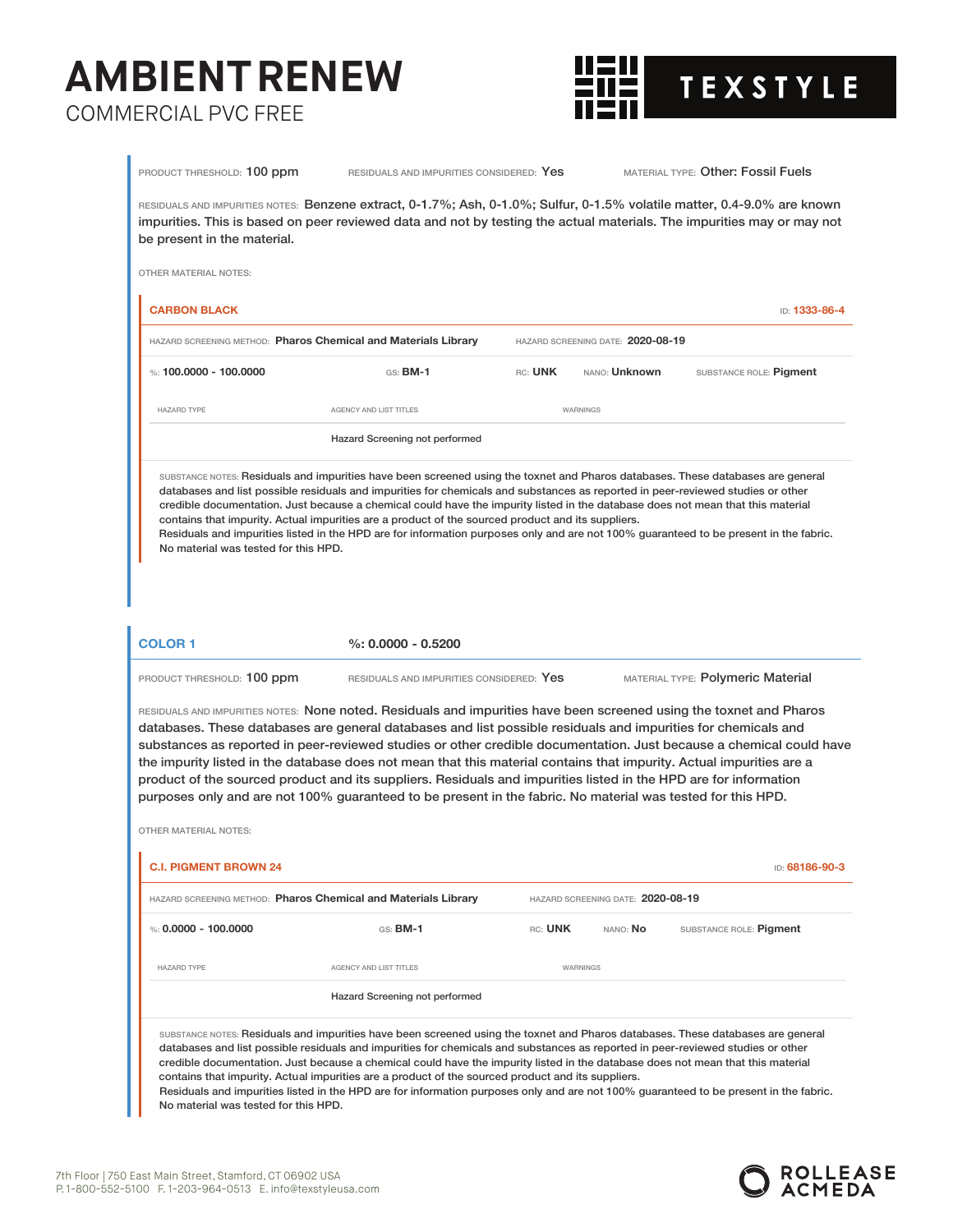

| be present in the material.<br>OTHER MATERIAL NOTES: |                                                                                                                                                                                                                                                                                                                                                                                                                                                                                                                                                                                                                                                                                                                        |         |                                   |                                   |                |
|------------------------------------------------------|------------------------------------------------------------------------------------------------------------------------------------------------------------------------------------------------------------------------------------------------------------------------------------------------------------------------------------------------------------------------------------------------------------------------------------------------------------------------------------------------------------------------------------------------------------------------------------------------------------------------------------------------------------------------------------------------------------------------|---------|-----------------------------------|-----------------------------------|----------------|
| <b>CARBON BLACK</b>                                  |                                                                                                                                                                                                                                                                                                                                                                                                                                                                                                                                                                                                                                                                                                                        |         |                                   |                                   | ID: 1333-86-4  |
|                                                      | HAZARD SCREENING METHOD: Pharos Chemical and Materials Library                                                                                                                                                                                                                                                                                                                                                                                                                                                                                                                                                                                                                                                         |         | HAZARD SCREENING DATE: 2020-08-19 |                                   |                |
| %: 100,0000 - 100,0000                               | $GS:$ BM-1                                                                                                                                                                                                                                                                                                                                                                                                                                                                                                                                                                                                                                                                                                             | RC: UNK | NANO: Unknown                     | SUBSTANCE ROLE: Pigment           |                |
| <b>HAZARD TYPE</b>                                   | <b>AGENCY AND LIST TITLES</b>                                                                                                                                                                                                                                                                                                                                                                                                                                                                                                                                                                                                                                                                                          |         | <b>WARNINGS</b>                   |                                   |                |
|                                                      | Hazard Screening not performed                                                                                                                                                                                                                                                                                                                                                                                                                                                                                                                                                                                                                                                                                         |         |                                   |                                   |                |
| No material was tested for this HPD.                 | contains that impurity. Actual impurities are a product of the sourced product and its suppliers.<br>Residuals and impurities listed in the HPD are for information purposes only and are not 100% quaranteed to be present in the fabric.                                                                                                                                                                                                                                                                                                                                                                                                                                                                             |         |                                   |                                   |                |
|                                                      |                                                                                                                                                                                                                                                                                                                                                                                                                                                                                                                                                                                                                                                                                                                        |         |                                   |                                   |                |
| <b>COLOR 1</b>                                       | $\%$ : 0.0000 - 0.5200                                                                                                                                                                                                                                                                                                                                                                                                                                                                                                                                                                                                                                                                                                 |         |                                   |                                   |                |
| PRODUCT THRESHOLD: 100 ppm                           | RESIDUALS AND IMPURITIES CONSIDERED: Yes                                                                                                                                                                                                                                                                                                                                                                                                                                                                                                                                                                                                                                                                               |         |                                   | MATERIAL TYPE: Polymeric Material |                |
| <b>OTHER MATERIAL NOTES:</b>                         | RESIDUALS AND IMPURITIES NOTES: None noted. Residuals and impurities have been screened using the toxnet and Pharos<br>databases. These databases are general databases and list possible residuals and impurities for chemicals and<br>substances as reported in peer-reviewed studies or other credible documentation. Just because a chemical could have<br>the impurity listed in the database does not mean that this material contains that impurity. Actual impurities are a<br>product of the sourced product and its suppliers. Residuals and impurities listed in the HPD are for information<br>purposes only and are not 100% guaranteed to be present in the fabric. No material was tested for this HPD. |         |                                   |                                   |                |
| <b>C.I. PIGMENT BROWN 24</b>                         |                                                                                                                                                                                                                                                                                                                                                                                                                                                                                                                                                                                                                                                                                                                        |         |                                   |                                   | ID: 68186-90-3 |
|                                                      | HAZARD SCREENING METHOD: Pharos Chemical and Materials Library                                                                                                                                                                                                                                                                                                                                                                                                                                                                                                                                                                                                                                                         |         | HAZARD SCREENING DATE: 2020-08-19 |                                   |                |
| %: $0.0000 - 100.0000$                               | GS: BM-1                                                                                                                                                                                                                                                                                                                                                                                                                                                                                                                                                                                                                                                                                                               | RC: UNK | nano: <b>No</b>                   | SUBSTANCE ROLE: Pigment           |                |
| <b>HAZARD TYPE</b>                                   | AGENCY AND LIST TITLES                                                                                                                                                                                                                                                                                                                                                                                                                                                                                                                                                                                                                                                                                                 |         | <b>WARNINGS</b>                   |                                   |                |

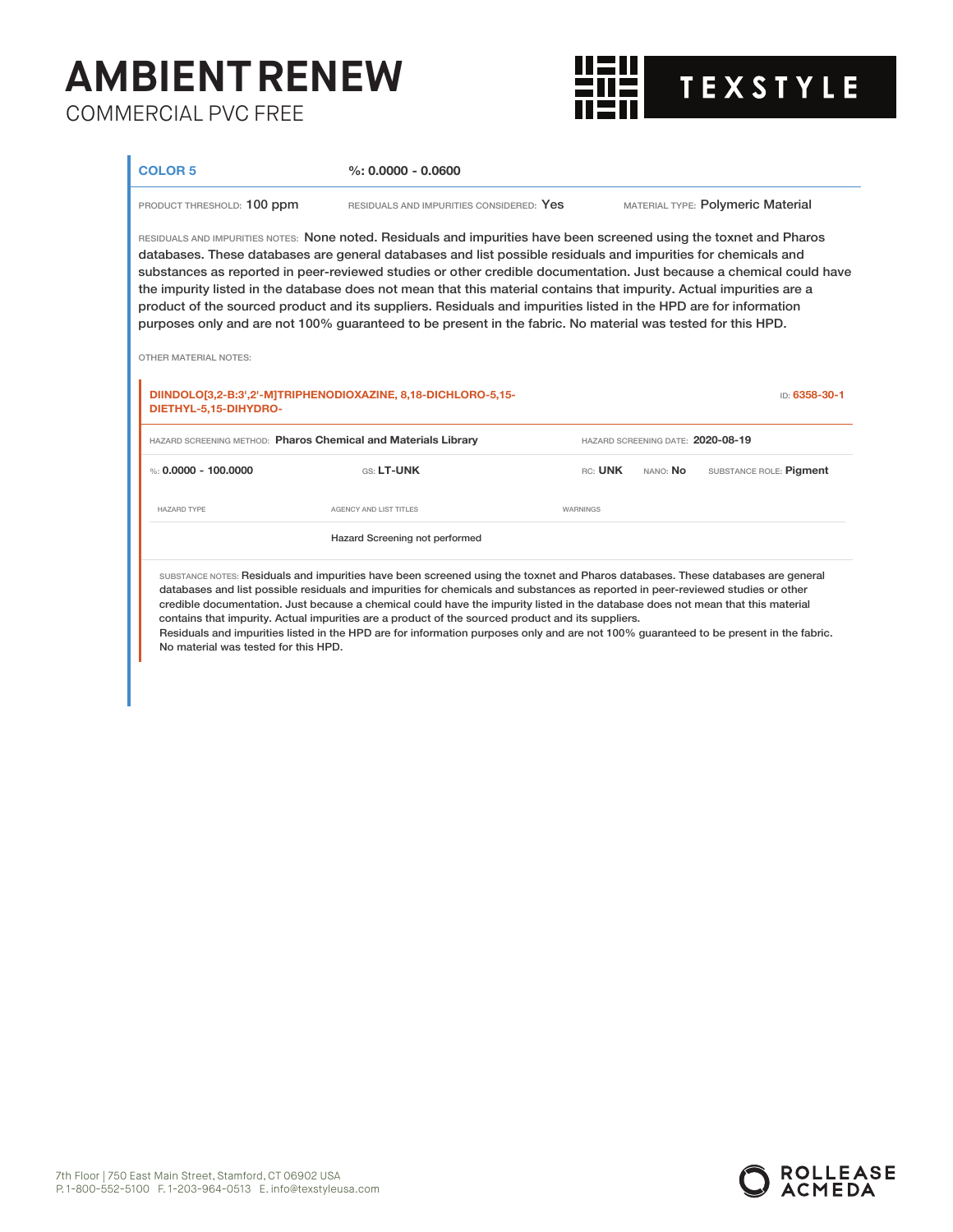

**COLOR 5 %: 0.0000 - 0.0600**

PRODUCT THRESHOLD: 100 ppm RESIDUALS AND IMPURITIES CONSIDERED: Yes MATERIAL TYPE: Polymeric Material

RESIDUALS AND IMPURITIES NOTES: None noted. Residuals and impurities have been screened using the toxnet and Pharos databases. These databases are general databases and list possible residuals and impurities for chemicals and substances as reported in peer-reviewed studies or other credible documentation. Just because a chemical could have the impurity listed in the database does not mean that this material contains that impurity. Actual impurities are a product of the sourced product and its suppliers. Residuals and impurities listed in the HPD are for information purposes only and are not 100% guaranteed to be present in the fabric. No material was tested for this HPD.

OTHER MATERIAL NOTES:

| DIINDOLO[3,2-B:3',2'-M]TRIPHENODIOXAZINE, 8,18-DICHLORO-5,15-<br>ID: 6358-30-1<br>DIETHYL-5,15-DIHYDRO- |                                                                                                                                 |                                   |                 |                         |  |
|---------------------------------------------------------------------------------------------------------|---------------------------------------------------------------------------------------------------------------------------------|-----------------------------------|-----------------|-------------------------|--|
| HAZARD SCREENING METHOD: Pharos Chemical and Materials Library                                          |                                                                                                                                 | HAZARD SCREENING DATE: 2020-08-19 |                 |                         |  |
| %: 0.0000 - 100.0000                                                                                    | GS: LT-UNK                                                                                                                      | RC: UNK                           | nano: <b>No</b> | SUBSTANCE ROLE: Pigment |  |
| <b>HAZARD TYPE</b>                                                                                      | AGENCY AND LIST TITLES                                                                                                          | <b>WARNINGS</b>                   |                 |                         |  |
|                                                                                                         | Hazard Screening not performed                                                                                                  |                                   |                 |                         |  |
|                                                                                                         | SUBSTANCE NOTES: Residuals and impurities have been screened using the toxnet and Pharos databases. These databases are general |                                   |                 |                         |  |

databases and list possible residuals and impurities for chemicals and substances as reported in peer-reviewed studies or other credible documentation. Just because a chemical could have the impurity listed in the database does not mean that this material contains that impurity. Actual impurities are a product of the sourced product and its suppliers.

Residuals and impurities listed in the HPD are for information purposes only and are not 100% guaranteed to be present in the fabric. No material was tested for this HPD.

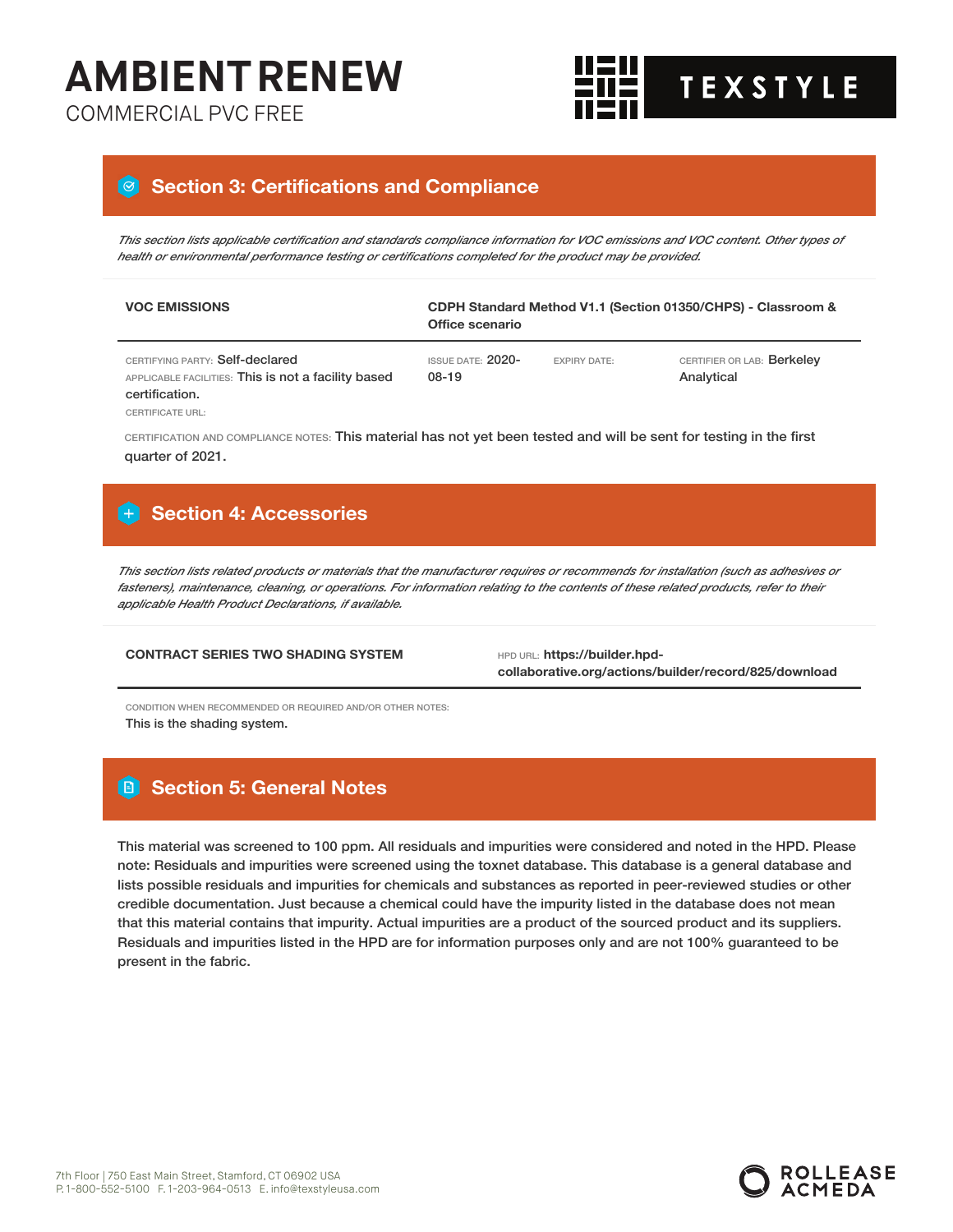**TH TEXSTYLE** 

### COMMERCIAL PVC FREE

### **Section 3: Certifications and Compliance**

This section lists applicable certification and standards compliance information for VOC emissions and VOC content. Other types of *health or environmental performance testing or certifications completed for the product may be provided.*

| <b>VOC EMISSIONS</b>                                                                                     | Office scenario            |                     | CDPH Standard Method V1.1 (Section 01350/CHPS) - Classroom & |
|----------------------------------------------------------------------------------------------------------|----------------------------|---------------------|--------------------------------------------------------------|
| CERTIFYING PARTY: Self-declared<br>APPLICABLE FACILITIES: This is not a facility based<br>certification. | ISSUE DATE: 2020-<br>08-19 | <b>EXPIRY DATE:</b> | CERTIFIER OR LAB: Berkeley<br>Analytical                     |
| <b>CERTIFICATE URL:</b>                                                                                  |                            |                     |                                                              |

CERTIFICATION AND COMPLIANCE NOTES: This material has not yet been tested and will be sent for testing in the first quarter of 2021.

### **Section 4: Accessories**

This section lists related products or materials that the manufacturer requires or recommends for installation (such as adhesives or fasteners), maintenance, cleaning, or operations. For information relating to the contents of these related products, refer to their *applicable Health Product Declarations, if available.*

### **CONTRACT SERIES TWO SHADING SYSTEM HPD URL: https://builder.hpd-**

**collaborative.org/actions/builder/record/825/download**

CONDITION WHEN RECOMMENDED OR REQUIRED AND/OR OTHER NOTES: This is the shading system.

### **Section 5: General Notes**

This material was screened to 100 ppm. All residuals and impurities were considered and noted in the HPD. Please note: Residuals and impurities were screened using the toxnet database. This database is a general database and lists possible residuals and impurities for chemicals and substances as reported in peer-reviewed studies or other credible documentation. Just because a chemical could have the impurity listed in the database does not mean that this material contains that impurity. Actual impurities are a product of the sourced product and its suppliers. Residuals and impurities listed in the HPD are for information purposes only and are not 100% guaranteed to be present in the fabric.